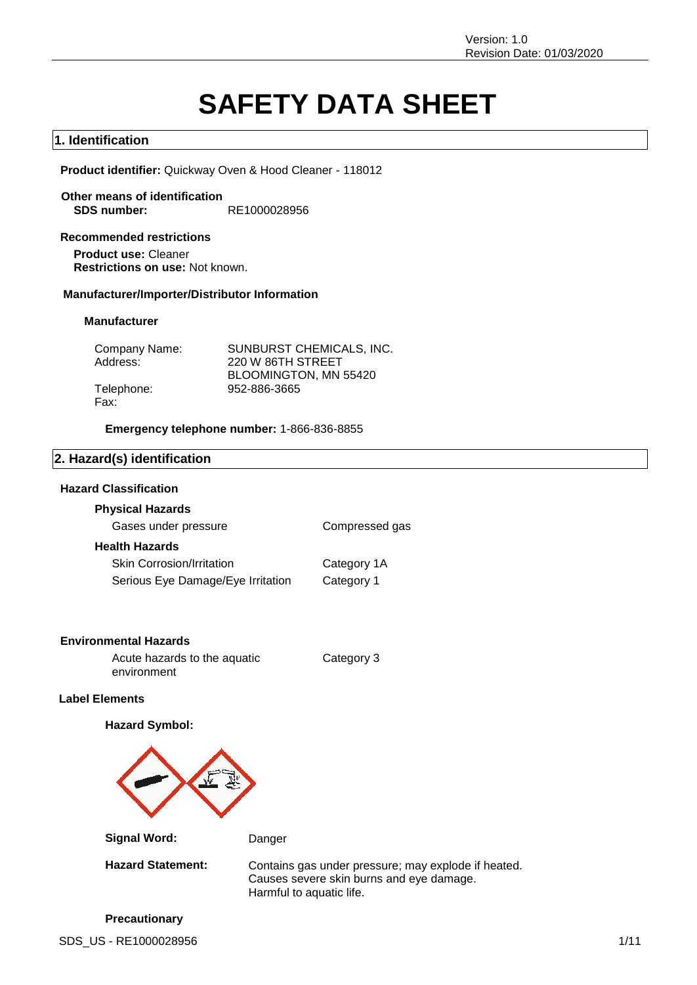# **SAFETY DATA SHEET**

# **1. Identification**

**Product identifier:** Quickway Oven & Hood Cleaner - 118012

**Other means of identification SDS number:** RE1000028956

**Recommended restrictions Product use:** Cleaner **Restrictions on use:** Not known.

### **Manufacturer/Importer/Distributor Information**

### **Manufacturer**

| Company Name: | SUNBURST CHEMICALS, INC. |
|---------------|--------------------------|
| Address:      | 220 W 86TH STREET        |
|               | BLOOMINGTON, MN 55420    |
| Telephone:    | 952-886-3665             |
| Fax:          |                          |

**Emergency telephone number:** 1-866-836-8855

# **2. Hazard(s) identification**

### **Hazard Classification**

### **Physical Hazards**

Gases under pressure **Compressed gas Health Hazards** Skin Corrosion/Irritation Category 1A Serious Eye Damage/Eye Irritation Category 1

### **Environmental Hazards**

Acute hazards to the aquatic environment

Category 3

# **Label Elements**

### **Hazard Symbol:**



**Signal Word:** Danger

Hazard Statement: Contains gas under pressure; may explode if heated. Causes severe skin burns and eye damage. Harmful to aquatic life.

SDS\_US - RE1000028956 1/11 **Precautionary**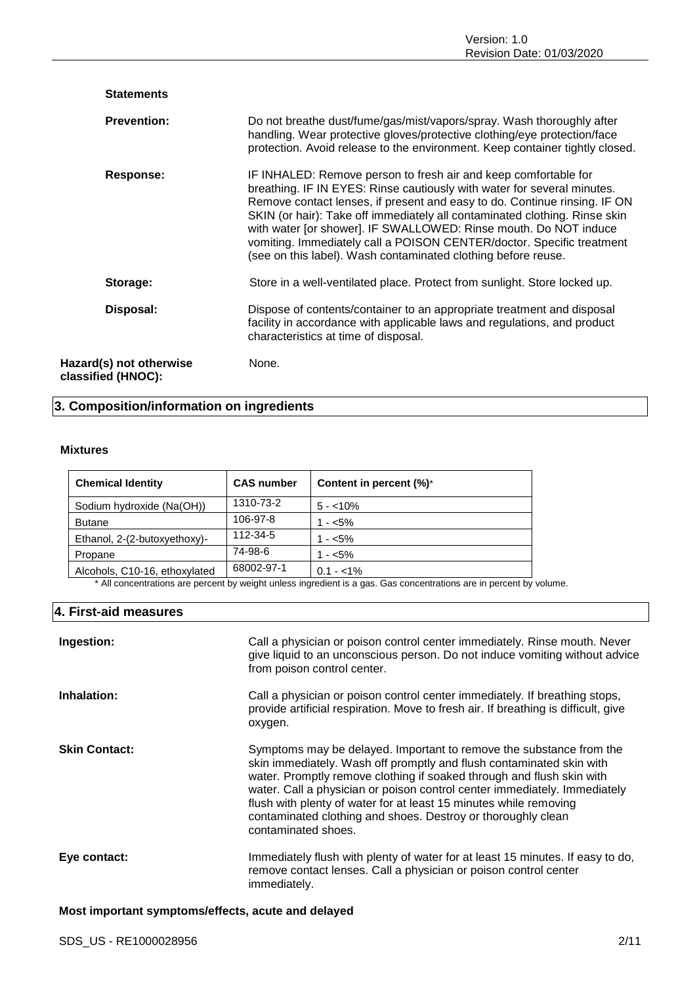| <b>Statements</b>                             |                                                                                                                                                                                                                                                                                                                                                                                                                                                                                                                     |
|-----------------------------------------------|---------------------------------------------------------------------------------------------------------------------------------------------------------------------------------------------------------------------------------------------------------------------------------------------------------------------------------------------------------------------------------------------------------------------------------------------------------------------------------------------------------------------|
| <b>Prevention:</b>                            | Do not breathe dust/fume/gas/mist/vapors/spray. Wash thoroughly after<br>handling. Wear protective gloves/protective clothing/eye protection/face<br>protection. Avoid release to the environment. Keep container tightly closed.                                                                                                                                                                                                                                                                                   |
| Response:                                     | IF INHALED: Remove person to fresh air and keep comfortable for<br>breathing. IF IN EYES: Rinse cautiously with water for several minutes.<br>Remove contact lenses, if present and easy to do. Continue rinsing. IF ON<br>SKIN (or hair): Take off immediately all contaminated clothing. Rinse skin<br>with water [or shower]. IF SWALLOWED: Rinse mouth. Do NOT induce<br>vomiting. Immediately call a POISON CENTER/doctor. Specific treatment<br>(see on this label). Wash contaminated clothing before reuse. |
| Storage:                                      | Store in a well-ventilated place. Protect from sunlight. Store locked up.                                                                                                                                                                                                                                                                                                                                                                                                                                           |
| Disposal:                                     | Dispose of contents/container to an appropriate treatment and disposal<br>facility in accordance with applicable laws and regulations, and product<br>characteristics at time of disposal.                                                                                                                                                                                                                                                                                                                          |
| Hazard(s) not otherwise<br>classified (HNOC): | None.                                                                                                                                                                                                                                                                                                                                                                                                                                                                                                               |

# **3. Composition/information on ingredients**

### **Mixtures**

| <b>Chemical Identity</b>      | <b>CAS number</b> | Content in percent (%)* |
|-------------------------------|-------------------|-------------------------|
| Sodium hydroxide (Na(OH))     | 1310-73-2         | $5 - 10\%$              |
| <b>Butane</b>                 | 106-97-8          | $1 - 5\%$               |
| Ethanol, 2-(2-butoxyethoxy)-  | 112-34-5          | $1 - 5\%$               |
| Propane                       | 74-98-6           | $1 - 5\%$               |
| Alcohols, C10-16, ethoxylated | 68002-97-1        | $0.1 - 1\%$             |

\* All concentrations are percent by weight unless ingredient is a gas. Gas concentrations are in percent by volume.

# **4. First-aid measures**

| Ingestion:           | Call a physician or poison control center immediately. Rinse mouth. Never<br>give liquid to an unconscious person. Do not induce vomiting without advice<br>from poison control center.                                                                                                                                                                                                                                                                       |
|----------------------|---------------------------------------------------------------------------------------------------------------------------------------------------------------------------------------------------------------------------------------------------------------------------------------------------------------------------------------------------------------------------------------------------------------------------------------------------------------|
| Inhalation:          | Call a physician or poison control center immediately. If breathing stops,<br>provide artificial respiration. Move to fresh air. If breathing is difficult, give<br>oxygen.                                                                                                                                                                                                                                                                                   |
| <b>Skin Contact:</b> | Symptoms may be delayed. Important to remove the substance from the<br>skin immediately. Wash off promptly and flush contaminated skin with<br>water. Promptly remove clothing if soaked through and flush skin with<br>water. Call a physician or poison control center immediately. Immediately<br>flush with plenty of water for at least 15 minutes while removing<br>contaminated clothing and shoes. Destroy or thoroughly clean<br>contaminated shoes. |
| Eye contact:         | Immediately flush with plenty of water for at least 15 minutes. If easy to do,<br>remove contact lenses. Call a physician or poison control center<br>immediately.                                                                                                                                                                                                                                                                                            |

# **Most important symptoms/effects, acute and delayed**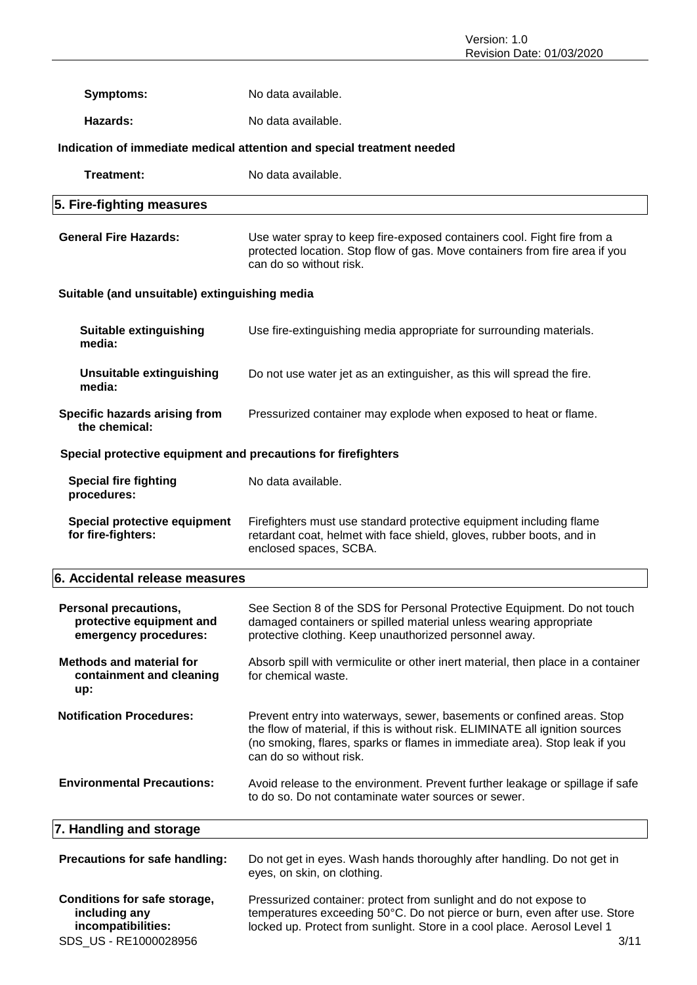| <b>Symptoms:</b>                                                                             | No data available.                                                                                                                                                                                                                                               |  |  |
|----------------------------------------------------------------------------------------------|------------------------------------------------------------------------------------------------------------------------------------------------------------------------------------------------------------------------------------------------------------------|--|--|
| Hazards:                                                                                     | No data available.                                                                                                                                                                                                                                               |  |  |
|                                                                                              | Indication of immediate medical attention and special treatment needed                                                                                                                                                                                           |  |  |
| Treatment:                                                                                   | No data available.                                                                                                                                                                                                                                               |  |  |
| 5. Fire-fighting measures                                                                    |                                                                                                                                                                                                                                                                  |  |  |
| <b>General Fire Hazards:</b>                                                                 | Use water spray to keep fire-exposed containers cool. Fight fire from a<br>protected location. Stop flow of gas. Move containers from fire area if you<br>can do so without risk.                                                                                |  |  |
| Suitable (and unsuitable) extinguishing media                                                |                                                                                                                                                                                                                                                                  |  |  |
| <b>Suitable extinguishing</b><br>media:                                                      | Use fire-extinguishing media appropriate for surrounding materials.                                                                                                                                                                                              |  |  |
| <b>Unsuitable extinguishing</b><br>media:                                                    | Do not use water jet as an extinguisher, as this will spread the fire.                                                                                                                                                                                           |  |  |
| Specific hazards arising from<br>the chemical:                                               | Pressurized container may explode when exposed to heat or flame.                                                                                                                                                                                                 |  |  |
| Special protective equipment and precautions for firefighters                                |                                                                                                                                                                                                                                                                  |  |  |
| <b>Special fire fighting</b><br>procedures:                                                  | No data available.                                                                                                                                                                                                                                               |  |  |
| Special protective equipment<br>for fire-fighters:                                           | Firefighters must use standard protective equipment including flame<br>retardant coat, helmet with face shield, gloves, rubber boots, and in<br>enclosed spaces, SCBA.                                                                                           |  |  |
| 6. Accidental release measures                                                               |                                                                                                                                                                                                                                                                  |  |  |
| <b>Personal precautions,</b><br>protective equipment and<br>emergency procedures:            | See Section 8 of the SDS for Personal Protective Equipment. Do not touch<br>damaged containers or spilled material unless wearing appropriate<br>protective clothing. Keep unauthorized personnel away.                                                          |  |  |
| <b>Methods and material for</b><br>containment and cleaning<br>up:                           | Absorb spill with vermiculite or other inert material, then place in a container<br>for chemical waste.                                                                                                                                                          |  |  |
| <b>Notification Procedures:</b>                                                              | Prevent entry into waterways, sewer, basements or confined areas. Stop<br>the flow of material, if this is without risk. ELIMINATE all ignition sources<br>(no smoking, flares, sparks or flames in immediate area). Stop leak if you<br>can do so without risk. |  |  |
| <b>Environmental Precautions:</b>                                                            | Avoid release to the environment. Prevent further leakage or spillage if safe<br>to do so. Do not contaminate water sources or sewer.                                                                                                                            |  |  |
| 7. Handling and storage                                                                      |                                                                                                                                                                                                                                                                  |  |  |
| Precautions for safe handling:                                                               | Do not get in eyes. Wash hands thoroughly after handling. Do not get in<br>eyes, on skin, on clothing.                                                                                                                                                           |  |  |
| Conditions for safe storage,<br>including any<br>incompatibilities:<br>SDS_US - RE1000028956 | Pressurized container: protect from sunlight and do not expose to<br>temperatures exceeding 50°C. Do not pierce or burn, even after use. Store<br>locked up. Protect from sunlight. Store in a cool place. Aerosol Level 1<br>3/11                               |  |  |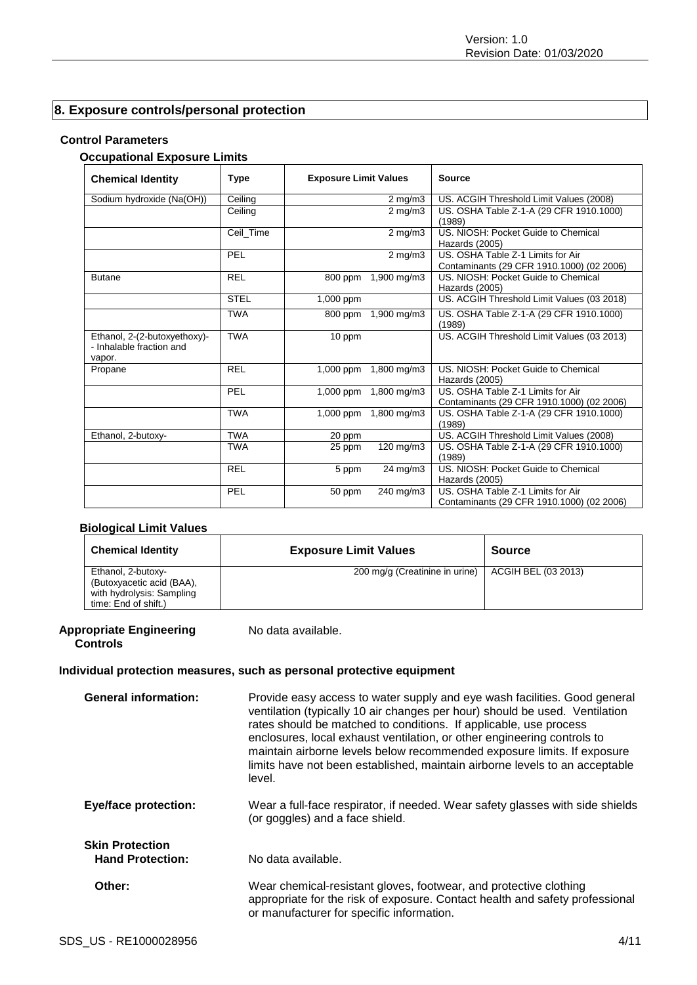# **8. Exposure controls/personal protection**

# **Control Parameters**

# **Occupational Exposure Limits**

| <b>Chemical Identity</b>                                           | <b>Type</b> | <b>Exposure Limit Values</b> |                       | <b>Source</b>                                                                  |
|--------------------------------------------------------------------|-------------|------------------------------|-----------------------|--------------------------------------------------------------------------------|
| Sodium hydroxide (Na(OH))                                          | Ceiling     |                              | $2 \text{ mg/m}$ 3    | US. ACGIH Threshold Limit Values (2008)                                        |
|                                                                    | Ceiling     |                              | $2$ mg/m $3$          | US. OSHA Table Z-1-A (29 CFR 1910.1000)<br>(1989)                              |
|                                                                    | Ceil_Time   |                              | $2$ mg/m $3$          | US. NIOSH: Pocket Guide to Chemical<br>Hazards (2005)                          |
|                                                                    | PEL         |                              | $2 \text{ mg/m}$      | US. OSHA Table Z-1 Limits for Air<br>Contaminants (29 CFR 1910.1000) (02 2006) |
| <b>Butane</b>                                                      | <b>REL</b>  | 800 ppm                      | 1,900 mg/m3           | US. NIOSH: Pocket Guide to Chemical<br>Hazards (2005)                          |
|                                                                    | <b>STEL</b> | 1,000 ppm                    |                       | US. ACGIH Threshold Limit Values (03 2018)                                     |
|                                                                    | <b>TWA</b>  | 800 ppm                      | 1,900 mg/m3           | US. OSHA Table Z-1-A (29 CFR 1910.1000)<br>(1989)                              |
| Ethanol, 2-(2-butoxyethoxy)-<br>- Inhalable fraction and<br>vapor. | <b>TWA</b>  | 10 ppm                       |                       | US. ACGIH Threshold Limit Values (03 2013)                                     |
| Propane                                                            | <b>REL</b>  | $1,000$ ppm                  | 1,800 mg/m3           | US. NIOSH: Pocket Guide to Chemical<br>Hazards (2005)                          |
|                                                                    | <b>PEL</b>  |                              | 1,000 ppm 1,800 mg/m3 | US. OSHA Table Z-1 Limits for Air<br>Contaminants (29 CFR 1910.1000) (02 2006) |
|                                                                    | <b>TWA</b>  |                              | 1,000 ppm 1,800 mg/m3 | US. OSHA Table Z-1-A (29 CFR 1910.1000)<br>(1989)                              |
| Ethanol, 2-butoxy-                                                 | <b>TWA</b>  | 20 ppm                       |                       | US. ACGIH Threshold Limit Values (2008)                                        |
|                                                                    | <b>TWA</b>  | 25 ppm                       | 120 mg/m3             | US. OSHA Table Z-1-A (29 CFR 1910.1000)<br>(1989)                              |
|                                                                    | <b>REL</b>  | 5 ppm                        | $24 \text{ mg/m}$     | US. NIOSH: Pocket Guide to Chemical<br>Hazards (2005)                          |
|                                                                    | PEL         | 50 ppm                       | 240 mg/m3             | US. OSHA Table Z-1 Limits for Air<br>Contaminants (29 CFR 1910.1000) (02 2006) |

### **Biological Limit Values**

| <b>Chemical Identity</b>                                                                             | <b>Exposure Limit Values</b>   | <b>Source</b>       |
|------------------------------------------------------------------------------------------------------|--------------------------------|---------------------|
| Ethanol, 2-butoxy-<br>(Butoxyacetic acid (BAA),<br>with hydrolysis: Sampling<br>time: End of shift.) | 200 mg/g (Creatinine in urine) | ACGIH BEL (03 2013) |

### **Appropriate Engineering Controls**

No data available.

# **Individual protection measures, such as personal protective equipment**

| <b>General information:</b>                       | Provide easy access to water supply and eye wash facilities. Good general<br>ventilation (typically 10 air changes per hour) should be used. Ventilation<br>rates should be matched to conditions. If applicable, use process<br>enclosures, local exhaust ventilation, or other engineering controls to<br>maintain airborne levels below recommended exposure limits. If exposure<br>limits have not been established, maintain airborne levels to an acceptable<br>level. |
|---------------------------------------------------|------------------------------------------------------------------------------------------------------------------------------------------------------------------------------------------------------------------------------------------------------------------------------------------------------------------------------------------------------------------------------------------------------------------------------------------------------------------------------|
| <b>Eye/face protection:</b>                       | Wear a full-face respirator, if needed. Wear safety glasses with side shields<br>(or goggles) and a face shield.                                                                                                                                                                                                                                                                                                                                                             |
| <b>Skin Protection</b><br><b>Hand Protection:</b> | No data available.                                                                                                                                                                                                                                                                                                                                                                                                                                                           |
| Other:                                            | Wear chemical-resistant gloves, footwear, and protective clothing<br>appropriate for the risk of exposure. Contact health and safety professional<br>or manufacturer for specific information.                                                                                                                                                                                                                                                                               |
| SDS US - RE1000028956                             | 4/11                                                                                                                                                                                                                                                                                                                                                                                                                                                                         |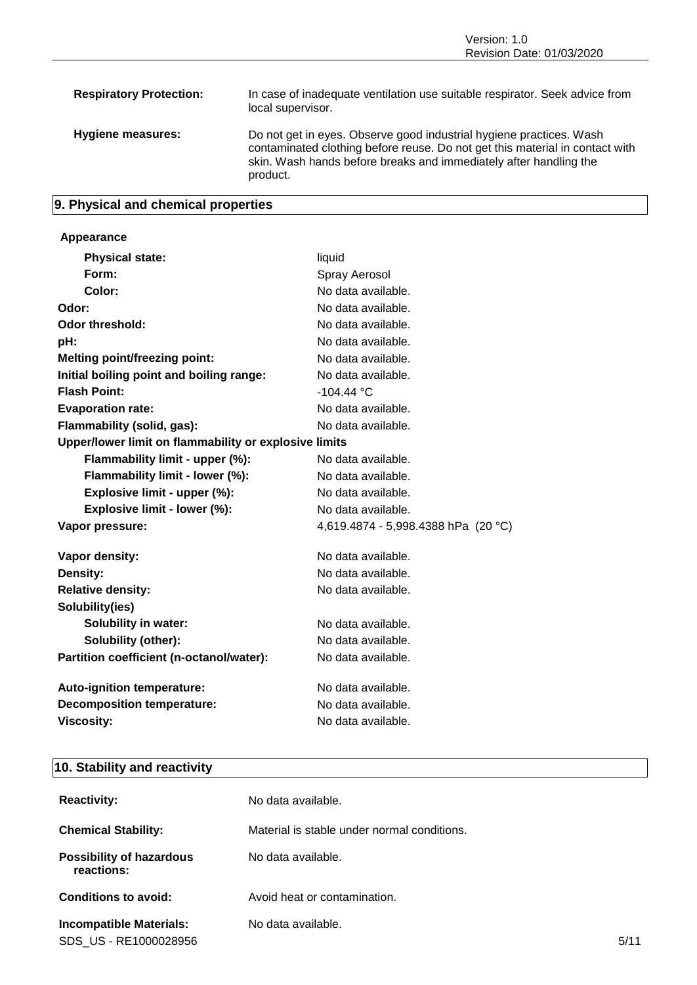# **9. Physical and chemical properties**

# **Appearance**

| <b>Physical state:</b>                                | liquid                              |
|-------------------------------------------------------|-------------------------------------|
| Form:                                                 | Spray Aerosol                       |
| Color:                                                | No data available.                  |
| Odor:                                                 | No data available.                  |
| Odor threshold:                                       | No data available.                  |
| pH:                                                   | No data available.                  |
| <b>Melting point/freezing point:</b>                  | No data available.                  |
| Initial boiling point and boiling range:              | No data available.                  |
| <b>Flash Point:</b>                                   | $-104.44 °C$                        |
| <b>Evaporation rate:</b>                              | No data available.                  |
| Flammability (solid, gas):                            | No data available.                  |
| Upper/lower limit on flammability or explosive limits |                                     |
| Flammability limit - upper (%):                       | No data available.                  |
| Flammability limit - lower (%):                       | No data available.                  |
| Explosive limit - upper (%):                          | No data available.                  |
| Explosive limit - lower (%):                          | No data available.                  |
| Vapor pressure:                                       | 4,619.4874 - 5,998.4388 hPa (20 °C) |
| Vapor density:                                        | No data available.                  |
| Density:                                              | No data available.                  |
| <b>Relative density:</b>                              | No data available.                  |
| Solubility(ies)                                       |                                     |
| <b>Solubility in water:</b>                           | No data available.                  |
| Solubility (other):                                   | No data available.                  |
| Partition coefficient (n-octanol/water):              | No data available.                  |
| Auto-ignition temperature:                            | No data available.                  |
| <b>Decomposition temperature:</b>                     | No data available.                  |
| <b>Viscosity:</b>                                     | No data available.                  |

# **10. Stability and reactivity**

| <b>Reactivity:</b>                                      | No data available.                          |      |
|---------------------------------------------------------|---------------------------------------------|------|
| <b>Chemical Stability:</b>                              | Material is stable under normal conditions. |      |
| <b>Possibility of hazardous</b><br>reactions:           | No data available.                          |      |
| Conditions to avoid:                                    | Avoid heat or contamination.                |      |
| <b>Incompatible Materials:</b><br>SDS US - RE1000028956 | No data available.                          | 5/11 |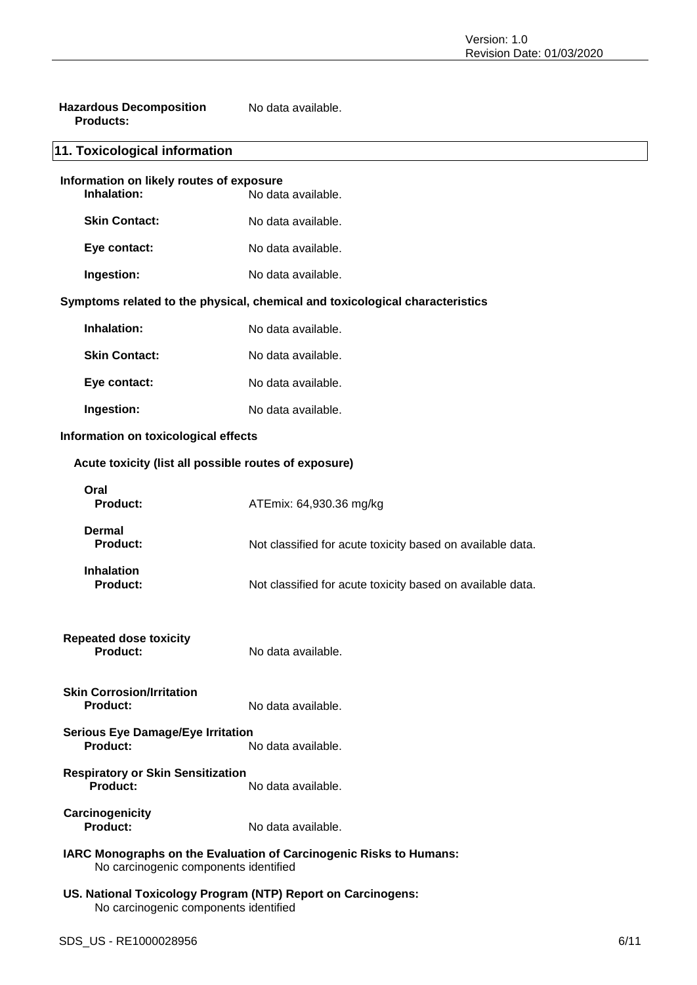| <b>Hazardous Decomposition</b> | No data available. |
|--------------------------------|--------------------|
| <b>Products:</b>               |                    |

# **11. Toxicological information**

| Information on likely routes of exposure<br>Inhalation:<br>No data available. |                    |
|-------------------------------------------------------------------------------|--------------------|
| <b>Skin Contact:</b>                                                          | No data available. |
| Eye contact:                                                                  | No data available. |
| Ingestion:                                                                    | No data available. |

# **Symptoms related to the physical, chemical and toxicological characteristics**

| Inhalation:          | No data available. |
|----------------------|--------------------|
| <b>Skin Contact:</b> | No data available. |
| Eye contact:         | No data available. |
| Ingestion:           | No data available. |

# **Information on toxicological effects**

# **Acute toxicity (list all possible routes of exposure)**

| Oral<br><b>Product:</b>                                                                                     | ATEmix: 64,930.36 mg/kg                                    |  |
|-------------------------------------------------------------------------------------------------------------|------------------------------------------------------------|--|
| Dermal<br>Product:                                                                                          | Not classified for acute toxicity based on available data. |  |
| <b>Inhalation</b><br><b>Product:</b>                                                                        | Not classified for acute toxicity based on available data. |  |
| <b>Repeated dose toxicity</b><br><b>Product:</b>                                                            | No data available.                                         |  |
| <b>Skin Corrosion/Irritation</b><br><b>Product:</b>                                                         | No data available.                                         |  |
| <b>Serious Eye Damage/Eye Irritation</b><br>Product:                                                        | No data available.                                         |  |
| <b>Respiratory or Skin Sensitization</b><br><b>Product:</b>                                                 | No data available.                                         |  |
| Carcinogenicity<br>Product:                                                                                 | No data available.                                         |  |
| IARC Monographs on the Evaluation of Carcinogenic Risks to Humans:<br>No carcinogenic components identified |                                                            |  |
| US. National Toxicology Program (NTP) Report on Carcinogens:                                                |                                                            |  |

No carcinogenic components identified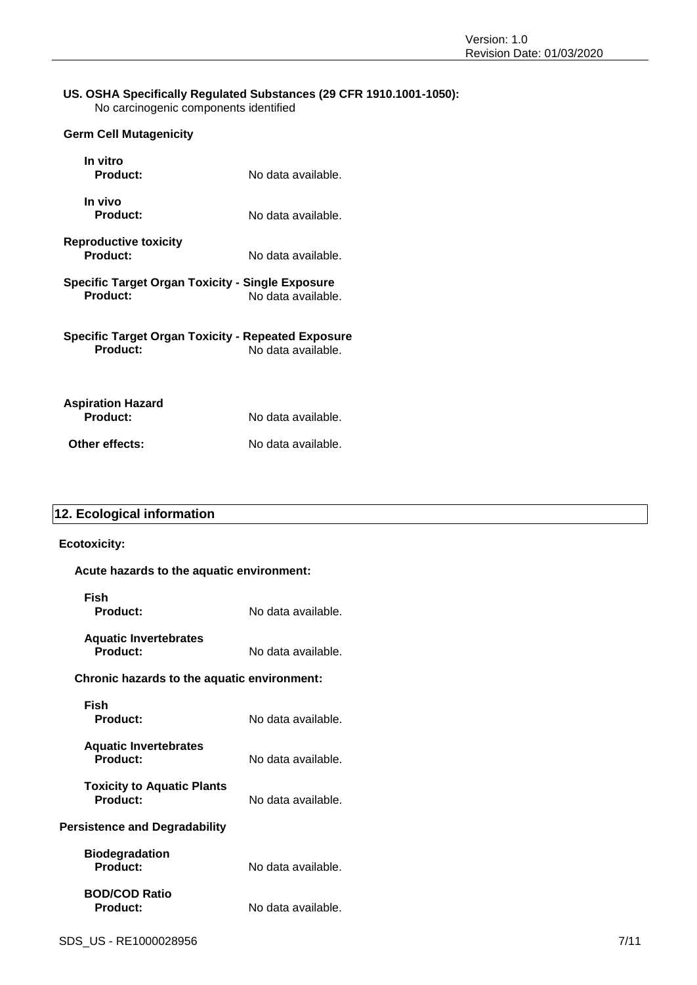### **US. OSHA Specifically Regulated Substances (29 CFR 1910.1001-1050):** No carcinogenic components identified

| <b>Germ Cell Mutagenicity</b>                                  |                    |
|----------------------------------------------------------------|--------------------|
| In vitro<br>Product:                                           | No data available. |
| In vivo<br>Product:                                            | No data available. |
| <b>Reproductive toxicity</b><br><b>Product:</b>                | No data available. |
| Specific Target Organ Toxicity - Single Exposure<br>Product:   | No data available. |
| Specific Target Organ Toxicity - Repeated Exposure<br>Product: | No data available. |
| <b>Aspiration Hazard</b><br>Product:                           | No data available. |

**Other effects:** No data available.

# **12. Ecological information**

### **Ecotoxicity:**

| Acute hazards to the aquatic environment: |                    |  |
|-------------------------------------------|--------------------|--|
| Fish<br>Product:                          | No data available. |  |
| <b>Aquatic Invertebrates</b><br>Product:  | No data available. |  |

# **Chronic hazards to the aquatic environment:**

| Fish<br>Product:                              | No data available. |
|-----------------------------------------------|--------------------|
| <b>Aquatic Invertebrates</b><br>Product:      | No data available. |
| <b>Toxicity to Aquatic Plants</b><br>Product: | No data available. |
| <b>Persistence and Degradability</b>          |                    |
| <b>Biodegradation</b><br>Product:             | No data available. |
| <b>BOD/COD Ratio</b><br><b>Product:</b>       | No data available. |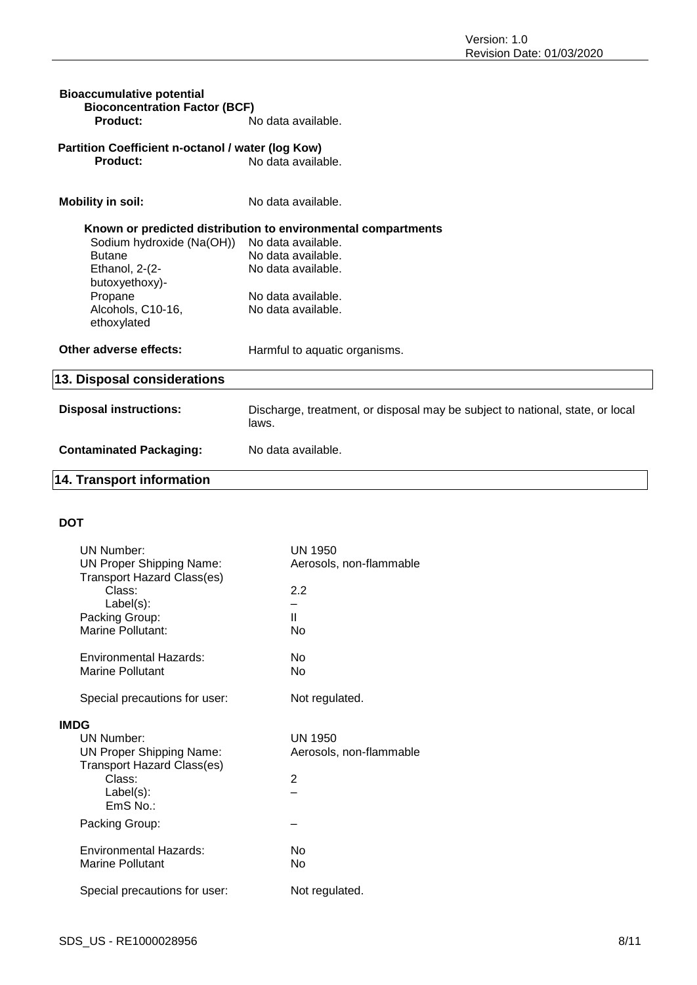| <b>Bioaccumulative potential</b><br><b>Bioconcentration Factor (BCF)</b> |                                                                                        |
|--------------------------------------------------------------------------|----------------------------------------------------------------------------------------|
| Product:                                                                 | No data available.                                                                     |
| Partition Coefficient n-octanol / water (log Kow)                        |                                                                                        |
| Product:                                                                 | No data available.                                                                     |
| <b>Mobility in soil:</b>                                                 | No data available.                                                                     |
|                                                                          | Known or predicted distribution to environmental compartments                          |
| Sodium hydroxide (Na(OH))                                                | No data available.                                                                     |
| <b>Butane</b>                                                            | No data available.                                                                     |
| Ethanol, 2-(2-                                                           | No data available.                                                                     |
| butoxyethoxy)-                                                           |                                                                                        |
| Propane                                                                  | No data available.                                                                     |
| Alcohols, C10-16,<br>ethoxylated                                         | No data available.                                                                     |
| Other adverse effects:                                                   | Harmful to aquatic organisms.                                                          |
| 13. Disposal considerations                                              |                                                                                        |
| <b>Disposal instructions:</b>                                            | Discharge, treatment, or disposal may be subject to national, state, or local<br>laws. |
| <b>Contaminated Packaging:</b>                                           | No data available.                                                                     |
| <b>14. Transport information</b>                                         |                                                                                        |

# **DOT**

|             | <b>UN Number:</b><br><b>UN Proper Shipping Name:</b>                 | UN 1950<br>Aerosols, non-flammable |
|-------------|----------------------------------------------------------------------|------------------------------------|
|             | <b>Transport Hazard Class(es)</b><br>Class:                          | 2.2                                |
|             | Label(s):<br>Packing Group:                                          | Ш                                  |
|             | Marine Pollutant:                                                    | N٥                                 |
|             | Environmental Hazards:                                               | Nο                                 |
|             | Marine Pollutant                                                     | N٥                                 |
|             | Special precautions for user:                                        | Not regulated.                     |
| <b>IMDG</b> |                                                                      |                                    |
|             | UN Number:                                                           | UN 1950                            |
|             | <b>UN Proper Shipping Name:</b><br><b>Transport Hazard Class(es)</b> | Aerosols, non-flammable            |
|             | Class:                                                               | 2                                  |
|             | $Label(s)$ :                                                         |                                    |
|             | EmS No.:                                                             |                                    |
|             | Packing Group:                                                       |                                    |
|             | Environmental Hazards:                                               | No                                 |
|             | Marine Pollutant                                                     | No                                 |
|             | Special precautions for user:                                        | Not regulated.                     |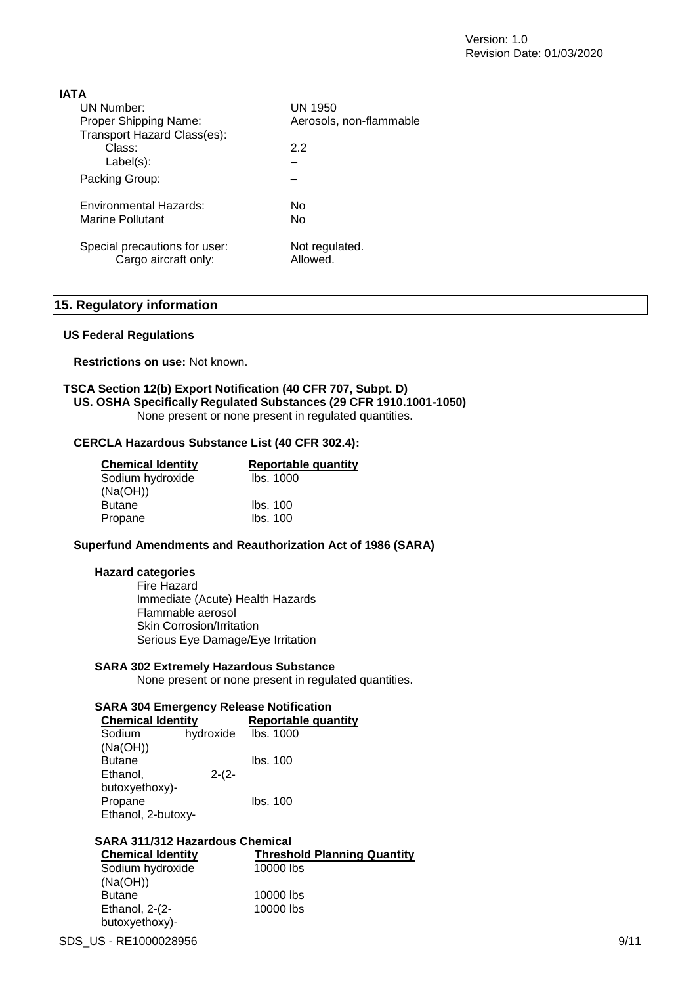| <b>IATA</b>                   |                         |
|-------------------------------|-------------------------|
| UN Number:                    | UN 1950                 |
| Proper Shipping Name:         | Aerosols, non-flammable |
| Transport Hazard Class(es):   |                         |
| Class:                        | 2.2                     |
| $Label(s)$ :                  |                         |
| Packing Group:                |                         |
| Environmental Hazards:        | No                      |
| Marine Pollutant              | No                      |
| Special precautions for user: | Not regulated.          |

Cargo aircraft only: Allowed.

# **15. Regulatory information**

#### **US Federal Regulations**

**Restrictions on use:** Not known.

# **TSCA Section 12(b) Export Notification (40 CFR 707, Subpt. D) US. OSHA Specifically Regulated Substances (29 CFR 1910.1001-1050)**

None present or none present in regulated quantities.

#### **CERCLA Hazardous Substance List (40 CFR 302.4):**

| <b>Chemical Identity</b> | Reportable quantity |
|--------------------------|---------------------|
| Sodium hydroxide         | lbs. 1000           |
| (Na(OH))                 |                     |
| Butane                   | lbs. 100            |
| Propane                  | Ibs. 100            |

#### **Superfund Amendments and Reauthorization Act of 1986 (SARA)**

#### **Hazard categories**

Fire Hazard Immediate (Acute) Health Hazards Flammable aerosol Skin Corrosion/Irritation Serious Eye Damage/Eye Irritation

### **SARA 302 Extremely Hazardous Substance**

None present or none present in regulated quantities.

#### **SARA 304 Emergency Release Notification**

| <b>Chemical Identity</b> |           | <b>Reportable quantity</b> |  |
|--------------------------|-----------|----------------------------|--|
| Sodium                   | hydroxide | lbs. 1000                  |  |
| (Na(OH))                 |           |                            |  |
| <b>Butane</b>            |           | lbs. 100                   |  |
| Ethanol,                 | $2-(2-$   |                            |  |
| butoxyethoxy)-           |           |                            |  |
| Propane                  |           | Ibs. 100                   |  |
| Ethanol, 2-butoxy-       |           |                            |  |

### **SARA 311/312 Hazardous Chemical**

**Chemical Identity Threshold Planning Quantity** Sodium hydroxide (Na(OH)) 10000 lbs Butane 10000 lbs Ethanol, 2-(2 butoxyethoxy)- 10000 lbs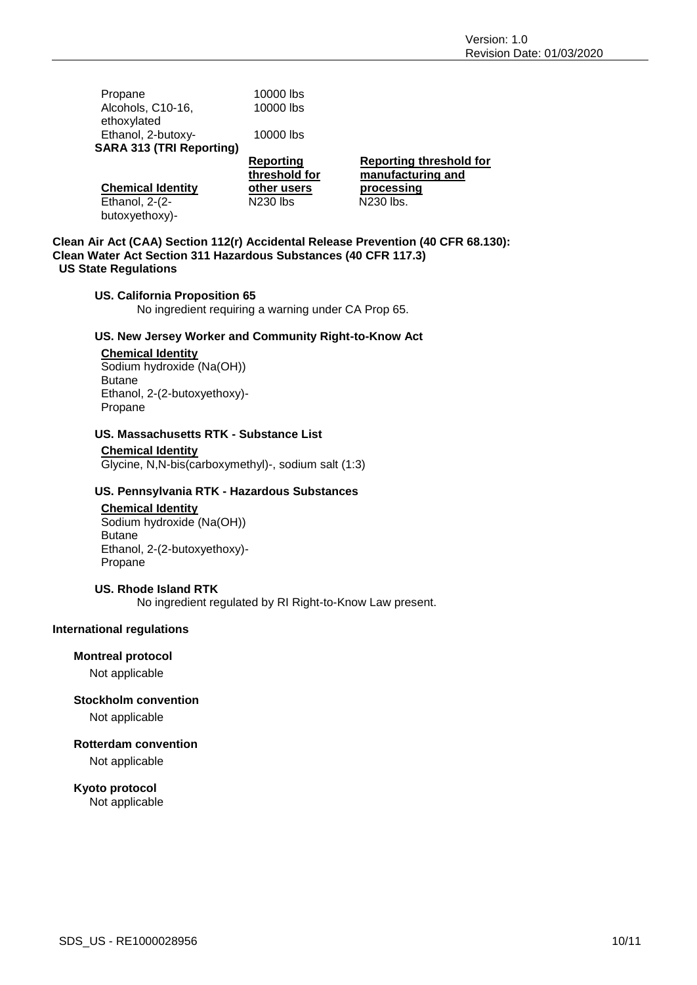| Propane                         | 10000 lbs       |                                |
|---------------------------------|-----------------|--------------------------------|
| Alcohols, C10-16,               | 10000 lbs       |                                |
| ethoxylated                     |                 |                                |
| Ethanol, 2-butoxy-              | 10000 lbs       |                                |
| <b>SARA 313 (TRI Reporting)</b> |                 |                                |
|                                 | Reporting       | <b>Reporting threshold for</b> |
|                                 |                 |                                |
|                                 | threshold for   | manufacturing and              |
| <b>Chemical Identity</b>        | other users     | processing                     |
| Ethanol, 2-(2-                  | <b>N230 lbs</b> | N230 lbs.                      |
| butoxyethoxy)-                  |                 |                                |

### **Clean Air Act (CAA) Section 112(r) Accidental Release Prevention (40 CFR 68.130): Clean Water Act Section 311 Hazardous Substances (40 CFR 117.3) US State Regulations**

### **US. California Proposition 65**

No ingredient requiring a warning under CA Prop 65.

### **US. New Jersey Worker and Community Right-to-Know Act**

### **Chemical Identity**

Sodium hydroxide (Na(OH)) Butane Ethanol, 2-(2-butoxyethoxy)- Propane

### **US. Massachusetts RTK - Substance List**

**Chemical Identity** Glycine, N,N-bis(carboxymethyl)-, sodium salt (1:3)

### **US. Pennsylvania RTK - Hazardous Substances**

# **Chemical Identity** Sodium hydroxide (Na(OH))

Butane Ethanol, 2-(2-butoxyethoxy)- Propane

### **US. Rhode Island RTK**

No ingredient regulated by RI Right-to-Know Law present.

### **International regulations**

# **Montreal protocol**

Not applicable

### **Stockholm convention**

Not applicable

### **Rotterdam convention**

Not applicable

### **Kyoto protocol**

Not applicable